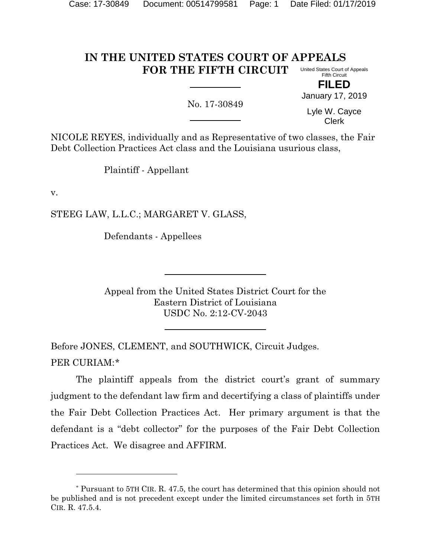#### **IN THE UNITED STATES COURT OF APPEALS FOR THE FIFTH CIRCUIT** United States Court of Appeals Fifth Circuit

No. 17-30849

**FILED** January 17, 2019

Lyle W. Cayce Clerk

NICOLE REYES, individually and as Representative of two classes, the Fair Debt Collection Practices Act class and the Louisiana usurious class,

Plaintiff - Appellant

v.

l

STEEG LAW, L.L.C.; MARGARET V. GLASS,

Defendants - Appellees

Appeal from the United States District Court for the Eastern District of Louisiana USDC No. 2:12-CV-2043

Before JONES, CLEMENT, and SOUTHWICK, Circuit Judges. PER CURIAM:[\\*](#page-0-0)

The plaintiff appeals from the district court's grant of summary judgment to the defendant law firm and decertifying a class of plaintiffs under the Fair Debt Collection Practices Act. Her primary argument is that the defendant is a "debt collector" for the purposes of the Fair Debt Collection Practices Act. We disagree and AFFIRM.

<span id="page-0-0"></span><sup>\*</sup> Pursuant to 5TH CIR. R. 47.5, the court has determined that this opinion should not be published and is not precedent except under the limited circumstances set forth in 5TH CIR. R. 47.5.4.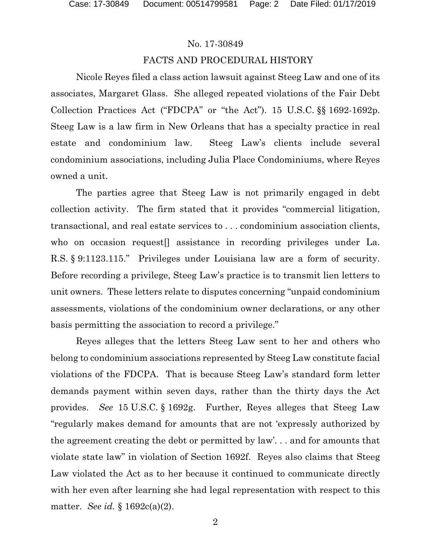# FACTS AND PROCEDURAL HISTORY

Nicole Reyes filed a class action lawsuit against Steeg Law and one of its associates, Margaret Glass. She alleged repeated violations of the Fair Debt Collection Practices Act ("FDCPA" or "the Act"). 15 U.S.C. §§ 1692-1692p. Steeg Law is a law firm in New Orleans that has a specialty practice in real estate and condominium law. Steeg Law's clients include several condominium associations, including Julia Place Condominiums, where Reyes owned a unit.

The parties agree that Steeg Law is not primarily engaged in debt collection activity. The firm stated that it provides "commercial litigation, transactional, and real estate services to . . . condominium association clients, who on occasion request[] assistance in recording privileges under La. R.S. § 9:1123.115." Privileges under Louisiana law are a form of security. Before recording a privilege, Steeg Law's practice is to transmit lien letters to unit owners. These letters relate to disputes concerning "unpaid condominium assessments, violations of the condominium owner declarations, or any other basis permitting the association to record a privilege."

Reyes alleges that the letters Steeg Law sent to her and others who belong to condominium associations represented by Steeg Law constitute facial violations of the FDCPA. That is because Steeg Law's standard form letter demands payment within seven days, rather than the thirty days the Act provides. *See* 15 U.S.C. § 1692g. Further, Reyes alleges that Steeg Law "regularly makes demand for amounts that are not 'expressly authorized by the agreement creating the debt or permitted by law'. . . and for amounts that violate state law" in violation of Section 1692f. Reyes also claims that Steeg Law violated the Act as to her because it continued to communicate directly with her even after learning she had legal representation with respect to this matter. *See id.* § 1692c(a)(2).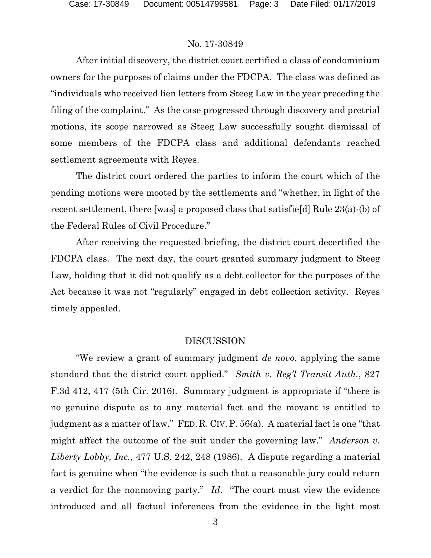After initial discovery, the district court certified a class of condominium owners for the purposes of claims under the FDCPA. The class was defined as "individuals who received lien letters from Steeg Law in the year preceding the filing of the complaint." As the case progressed through discovery and pretrial motions, its scope narrowed as Steeg Law successfully sought dismissal of some members of the FDCPA class and additional defendants reached settlement agreements with Reyes.

The district court ordered the parties to inform the court which of the pending motions were mooted by the settlements and "whether, in light of the recent settlement, there [was] a proposed class that satisfie[d] Rule 23(a)-(b) of the Federal Rules of Civil Procedure."

After receiving the requested briefing, the district court decertified the FDCPA class. The next day, the court granted summary judgment to Steeg Law, holding that it did not qualify as a debt collector for the purposes of the Act because it was not "regularly" engaged in debt collection activity. Reyes timely appealed.

## DISCUSSION

"We review a grant of summary judgment *de novo*, applying the same standard that the district court applied." *Smith v. Reg'l Transit Auth.*, 827 F.3d 412, 417 (5th Cir. 2016). Summary judgment is appropriate if "there is no genuine dispute as to any material fact and the movant is entitled to judgment as a matter of law." FED. R. CIV. P. 56(a). A material fact is one "that might affect the outcome of the suit under the governing law." *Anderson v. Liberty Lobby, Inc.*, 477 U.S. 242, 248 (1986). A dispute regarding a material fact is genuine when "the evidence is such that a reasonable jury could return a verdict for the nonmoving party." *Id*. "The court must view the evidence introduced and all factual inferences from the evidence in the light most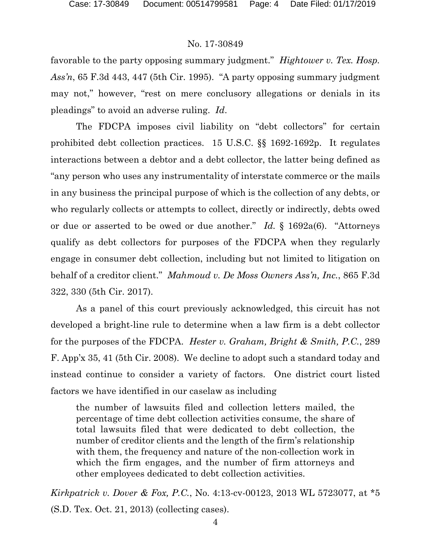favorable to the party opposing summary judgment." *Hightower v. Tex. Hosp. Ass'n*, 65 F.3d 443, 447 (5th Cir. 1995). "A party opposing summary judgment may not," however, "rest on mere conclusory allegations or denials in its pleadings" to avoid an adverse ruling. *Id*.

The FDCPA imposes civil liability on "debt collectors" for certain prohibited debt collection practices. 15 U.S.C. §§ 1692-1692p. It regulates interactions between a debtor and a debt collector, the latter being defined as "any person who uses any instrumentality of interstate commerce or the mails in any business the principal purpose of which is the collection of any debts, or who regularly collects or attempts to collect, directly or indirectly, debts owed or due or asserted to be owed or due another." *Id.* § 1692a(6). "Attorneys qualify as debt collectors for purposes of the FDCPA when they regularly engage in consumer debt collection, including but not limited to litigation on behalf of a creditor client." *Mahmoud v. De Moss Owners Ass'n, Inc.*, 865 F.3d 322, 330 (5th Cir. 2017).

As a panel of this court previously acknowledged, this circuit has not developed a bright-line rule to determine when a law firm is a debt collector for the purposes of the FDCPA. *Hester v. Graham, Bright & Smith, P.C.*, 289 F. App'x 35, 41 (5th Cir. 2008). We decline to adopt such a standard today and instead continue to consider a variety of factors. One district court listed factors we have identified in our caselaw as including

the number of lawsuits filed and collection letters mailed, the percentage of time debt collection activities consume, the share of total lawsuits filed that were dedicated to debt collection, the number of creditor clients and the length of the firm's relationship with them, the frequency and nature of the non-collection work in which the firm engages, and the number of firm attorneys and other employees dedicated to debt collection activities.

*Kirkpatrick v. Dover & Fox, P.C.*, No. 4:13-cv-00123, 2013 WL 5723077, at \*5 (S.D. Tex. Oct. 21, 2013) (collecting cases).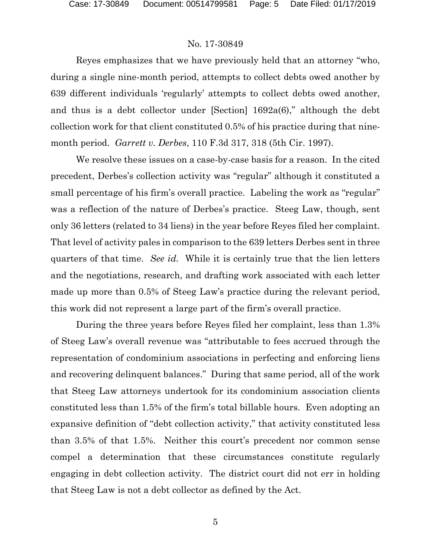Reyes emphasizes that we have previously held that an attorney "who, during a single nine-month period, attempts to collect debts owed another by 639 different individuals 'regularly' attempts to collect debts owed another, and thus is a debt collector under [Section] 1692a(6)," although the debt collection work for that client constituted 0.5% of his practice during that ninemonth period. *Garrett v. Derbes*, 110 F.3d 317, 318 (5th Cir. 1997).

We resolve these issues on a case-by-case basis for a reason. In the cited precedent, Derbes's collection activity was "regular" although it constituted a small percentage of his firm's overall practice. Labeling the work as "regular" was a reflection of the nature of Derbes's practice. Steeg Law, though, sent only 36 letters (related to 34 liens) in the year before Reyes filed her complaint. That level of activity pales in comparison to the 639 letters Derbes sent in three quarters of that time. *See id.* While it is certainly true that the lien letters and the negotiations, research, and drafting work associated with each letter made up more than 0.5% of Steeg Law's practice during the relevant period, this work did not represent a large part of the firm's overall practice.

During the three years before Reyes filed her complaint, less than 1.3% of Steeg Law's overall revenue was "attributable to fees accrued through the representation of condominium associations in perfecting and enforcing liens and recovering delinquent balances." During that same period, all of the work that Steeg Law attorneys undertook for its condominium association clients constituted less than 1.5% of the firm's total billable hours. Even adopting an expansive definition of "debt collection activity," that activity constituted less than 3.5% of that 1.5%. Neither this court's precedent nor common sense compel a determination that these circumstances constitute regularly engaging in debt collection activity. The district court did not err in holding that Steeg Law is not a debt collector as defined by the Act.

5